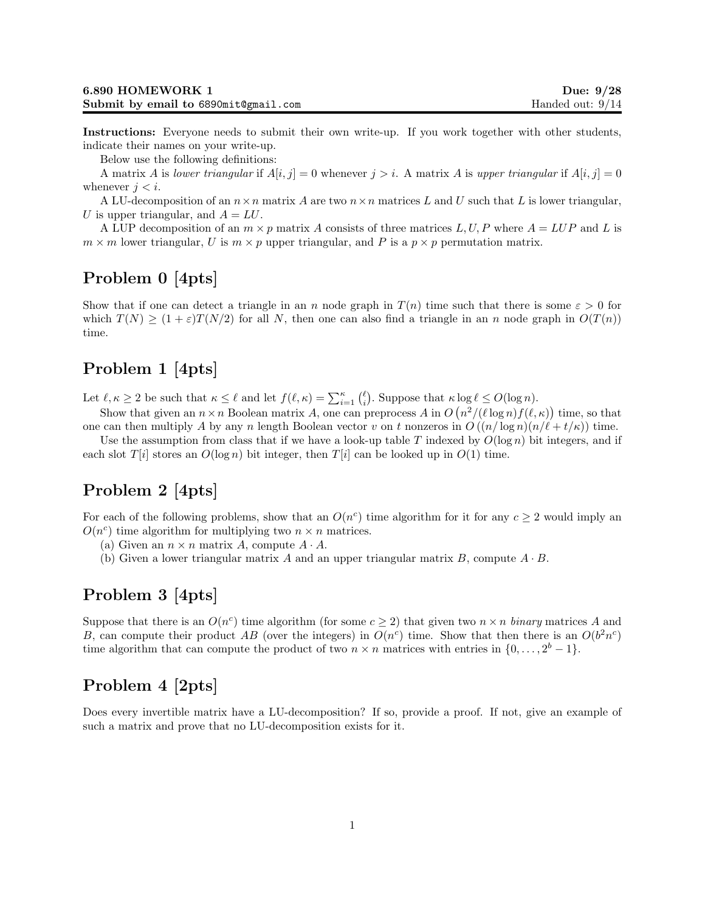Instructions: Everyone needs to submit their own write-up. If you work together with other students, indicate their names on your write-up.

Below use the following definitions:

A matrix A is lower triangular if  $A[i, j] = 0$  whenever  $j > i$ . A matrix A is upper triangular if  $A[i, j] = 0$ whenever  $j < i$ .

A LU-decomposition of an  $n \times n$  matrix A are two  $n \times n$  matrices L and U such that L is lower triangular, U is upper triangular, and  $A = LU$ .

A LUP decomposition of an  $m \times p$  matrix A consists of three matrices L, U, P where  $A = LUP$  and L is  $m \times m$  lower triangular, U is  $m \times p$  upper triangular, and P is a  $p \times p$  permutation matrix.

## Problem 0 [4pts]

Show that if one can detect a triangle in an n node graph in  $T(n)$  time such that there is some  $\varepsilon > 0$  for which  $T(N) \geq (1+\varepsilon)T(N/2)$  for all N, then one can also find a triangle in an n node graph in  $O(T(n))$ time.

## Problem 1 [4pts]

Let  $\ell, \kappa \ge 2$  be such that  $\kappa \le \ell$  and let  $f(\ell, \kappa) = \sum_{i=1}^{\kappa} {\ell \choose i}$ . Suppose that  $\kappa \log \ell \le O(\log n)$ .

Show that given an  $n \times n$  Boolean matrix A, one can preprocess A in  $O(n^2/(\ell \log n)f(\ell, \kappa))$  time, so that one can then multiply A by any n length Boolean vector v on t nonzeros in  $O((n/\log n)(n/\ell + t/\kappa))$  time.

Use the assumption from class that if we have a look-up table T indexed by  $O(\log n)$  bit integers, and if each slot  $T[i]$  stores an  $O(\log n)$  bit integer, then  $T[i]$  can be looked up in  $O(1)$  time.

## Problem 2 [4pts]

For each of the following problems, show that an  $O(n^c)$  time algorithm for it for any  $c \geq 2$  would imply an  $O(n^c)$  time algorithm for multiplying two  $n \times n$  matrices.

- (a) Given an  $n \times n$  matrix A, compute  $A \cdot A$ .
- (b) Given a lower triangular matrix A and an upper triangular matrix B, compute  $A \cdot B$ .

#### Problem 3 [4pts]

Suppose that there is an  $O(n^c)$  time algorithm (for some  $c \ge 2$ ) that given two  $n \times n$  binary matrices A and B, can compute their product AB (over the integers) in  $O(n^c)$  time. Show that then there is an  $O(b^2n^c)$ time algorithm that can compute the product of two  $n \times n$  matrices with entries in  $\{0, \ldots, 2^b - 1\}$ .

## Problem 4 [2pts]

Does every invertible matrix have a LU-decomposition? If so, provide a proof. If not, give an example of such a matrix and prove that no LU-decomposition exists for it.